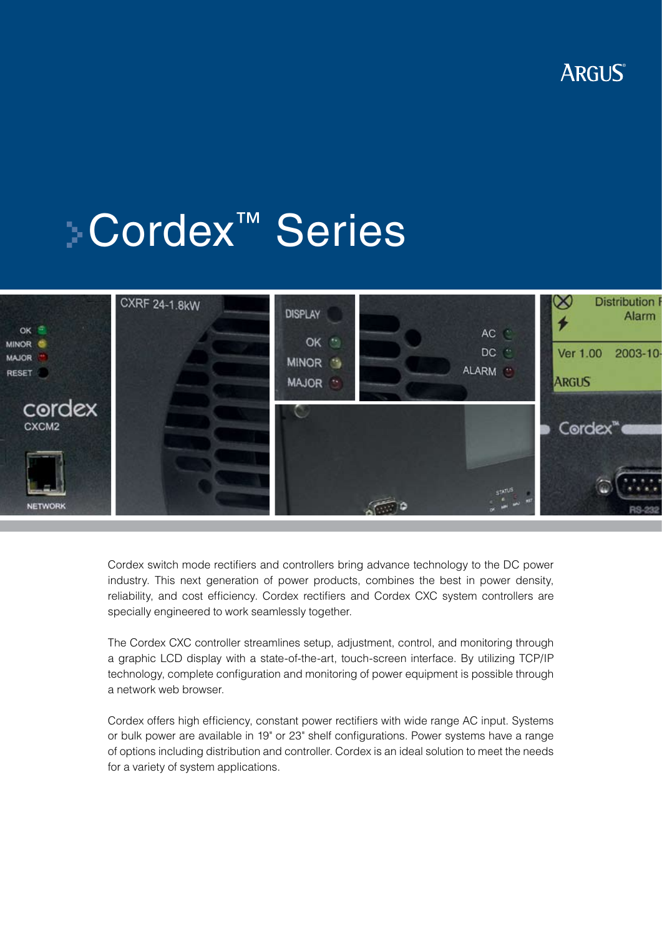

# Cordex™ Series



Cordex switch mode rectifiers and controllers bring advance technology to the DC power industry. This next generation of power products, combines the best in power density, reliability, and cost efficiency. Cordex rectifiers and Cordex CXC system controllers are specially engineered to work seamlessly together.

The Cordex CXC controller streamlines setup, adjustment, control, and monitoring through a graphic LCD display with a state-of-the-art, touch-screen interface. By utilizing TCP/IP technology, complete configuration and monitoring of power equipment is possible through a network web browser.

Cordex offers high efficiency, constant power rectifiers with wide range AC input. Systems or bulk power are available in 19" or 23" shelf configurations. Power systems have a range of options including distribution and controller. Cordex is an ideal solution to meet the needs for a variety of system applications.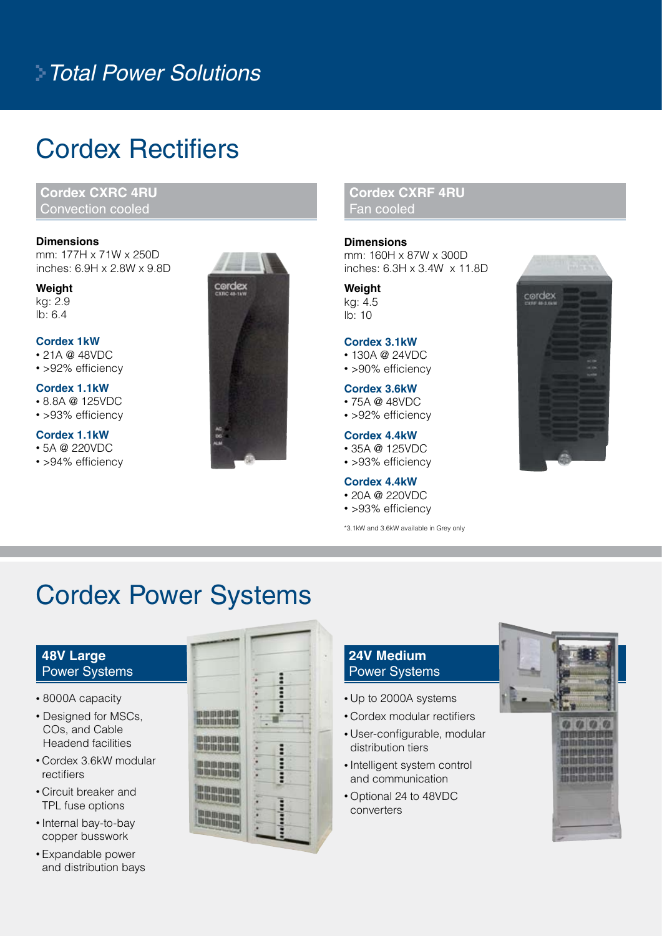### *Total Power Solutions*

### Cordex Rectifiers

**Cordex CXRC 4RU**  Convection cooled

#### **Dimensions**

mm: 177H x 71W x 250D inches: 6.9H x 2.8W x 9.8D

**Weight** kg: 2.9 lb: 6.4

#### **Cordex 1kW**

• 21A @ 48VDC

• > 92% efficiency

#### **Cordex 1.1kW**

• 8.8A @ 125VDC

• > 93% efficiency

#### **Cordex 1.1kW**

- 5A @ 220VDC
- > 94% efficiency



#### **Cordex CXRF 4RU**  Fan cooled

#### **Dimensions**

mm: 160H x 87W x 300D inches: 6.3H x 3.4W x 11.8D

**Weight** kg: 4.5 lb: 10

#### **Cordex 3.1kW**

- 130A @ 24VDC
- >90% efficiency

#### **Cordex 3.6kW**

- 75A @ 48VDC
- > 92% efficiency

#### **Cordex 4.4kW**

- 35A @ 125VDC
- > 93% efficiency

#### **Cordex 4.4kW**

- 20A @ 220VDC
- > 93% efficiency

\*3.1kW and 3.6kW available in Grey only



### Cordex Power Systems

#### **48V Large**  Power Systems

- 8000A capacity
- Designed for MSCs, COs, and Cable Headend facilities
- Cordex 3.6kW modular rectifiers
- Circuit breaker and TPL fuse options
- Internal bay-to-bay copper busswork
- Expandable power and distribution bays

|                                  | ۰      | ٠           |        |
|----------------------------------|--------|-------------|--------|
| 计图象图像图                           | ٠      | <br>٠       |        |
| is tila illa tila tila<br>网络国由曲  | i<br>٠ | ٠           | ı<br>۷ |
| <b>BE THE REAL PRO</b><br>中国国语用用 | ٠<br>٠ | ∷<br>i<br>٠ |        |
| <b>III III</b><br>н              |        | ٠<br>Ξ<br>١ | ٠      |
| is its tis tis<br>m<br>ш<br>и    | ٠      |             |        |
| a in in in in in                 |        | ۵           |        |

#### **24V Medium**  Power Systems

- Up to 2000A systems
- Cordex modular rectifiers
- User-configurable, modular distribution tiers
- Intelligent system control and communication
- Optional 24 to 48VDC converters

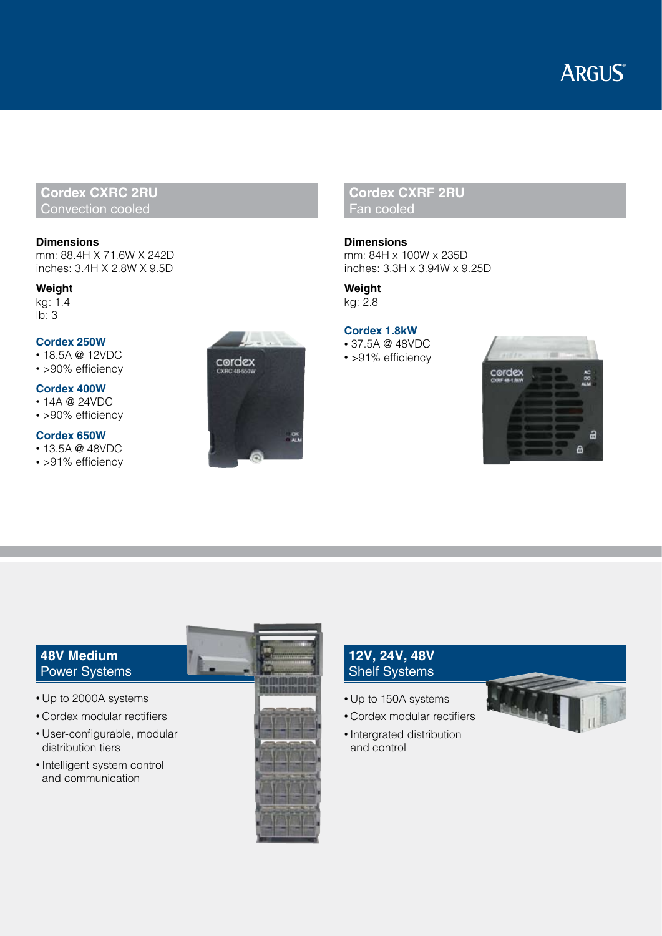### **ARGUS**

#### **Cordex CXRC 2RU**  Convection cooled

#### **Dimensions**

mm: 88.4H X 71.6W X 242D inches: 3.4H X 2.8W X 9.5D

#### **Weight**

kg: 1.4  $\overline{16}$ : 3

#### **Cordex 250W**

• 18.5A @ 12VDC

• >90% efficiency

#### **Cordex 400W**

• 14A @ 24VDC

• >90% efficiency

#### **Cordex 650W**

- 13.5A @ 48VDC
- > 91% efficiency



#### **Cordex CXRF 2RU**  Fan cooled

**Dimensions** mm: 84H x 100W x 235D inches: 3.3H x 3.94W x 9.25D

**Weight** kg: 2.8

**Cordex 1.8kW** • 37.5A @ 48VDC • >91% efficiency



#### **48V Medium**  Power Systems

- Up to 2000A systems
- Cordex modular rectifiers
- User-configurable, modular distribution tiers
- Intelligent system control and communication



#### **12V, 24V, 48V**  Shelf Systems

- Up to 150A systems
- Cordex modular rectifiers
- Intergrated distribution and control